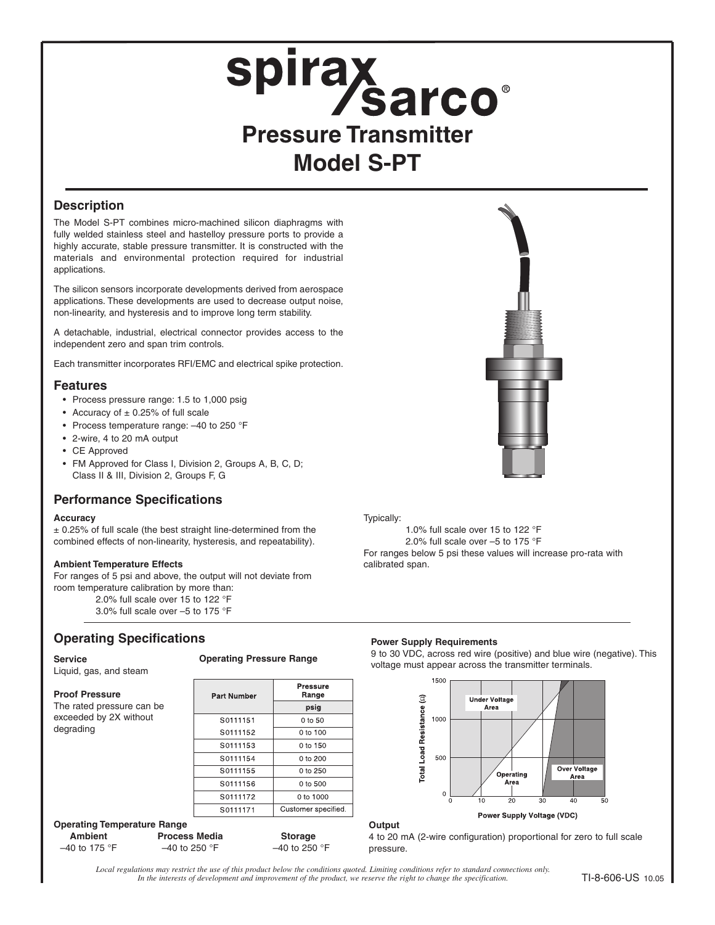# **Spirax<br>Pressure Transmitter Model S-PT**

## **Description**

The Model S-PT combines micro-machined silicon diaphragms with fully welded stainless steel and hastelloy pressure ports to provide a highly accurate, stable pressure transmitter. It is constructed with the materials and environmental protection required for industrial applications.

The silicon sensors incorporate developments derived from aerospace applications. These developments are used to decrease output noise, non-linearity, and hysteresis and to improve long term stability.

A detachable, industrial, electrical connector provides access to the independent zero and span trim controls.

Each transmitter incorporates RFI/EMC and electrical spike protection.

## **Features**

- Process pressure range: 1.5 to 1,000 psig
- Accuracy of  $\pm$  0.25% of full scale
- Process temperature range: –40 to 250 °F
- 2-wire, 4 to 20 mA output
- CE Approved
- FM Approved for Class I, Division 2, Groups A, B, C, D; Class II & III, Division 2, Groups F, G

## **Performance Specifications**

### **Accuracy**

 $\pm$  0.25% of full scale (the best straight line-determined from the combined effects of non-linearity, hysteresis, and repeatability).

## **Ambient Temperature Effects**

For ranges of 5 psi and above, the output will not deviate from room temperature calibration by more than:

2.0% full scale over 15 to 122 °F 3.0% full scale over –5 to 175 °F

# **Operating Specifications**

degrading

Liquid, gas, and steam

The rated pressure can be exceeded by 2X without

**Proof Pressure**

## **Operating Pressure Range**

| Part Number | <b>Pressure</b><br>Range |  |
|-------------|--------------------------|--|
|             | psig                     |  |
| S0111151    | 0 to 50                  |  |
| S0111152    | $0 \text{ to } 100$      |  |
| S0111153    | 0 to 150                 |  |
| S0111154    | 0 to 200                 |  |
| S0111155    | 0 to 250                 |  |
| S0111156    | 0 to 500                 |  |
| S0111172    | 0 to 1000                |  |
| S0111171    | Customer specified       |  |
|             |                          |  |

## **Operating Temperature Range**

| Ambient         | <b>Process Media</b>     | <b>Storage</b>           |
|-----------------|--------------------------|--------------------------|
| $-40$ to 175 °F | $-40$ to 250 $\degree$ F | $-40$ to 250 $\degree$ F |

### Typically:

**Output**

1.0% full scale over 15 to 122 °F 2.0% full scale over –5 to 175 °F For ranges below 5 psi these values will increase pro-rata with calibrated span.

## **Power Supply Requirements**

9 to 30 VDC, across red wire (positive) and blue wire (negative). This voltage must appear across the transmitter terminals.



Power Supply Voltage (VDC)

4 to 20 mA (2-wire configuration) proportional for zero to full scale pressure.

*Local regulations may restrict the use of this product below the conditions quoted. Limiting conditions refer to standard connections only. In the interests of development and improvement of the product, we reserve the right to change the specification.*